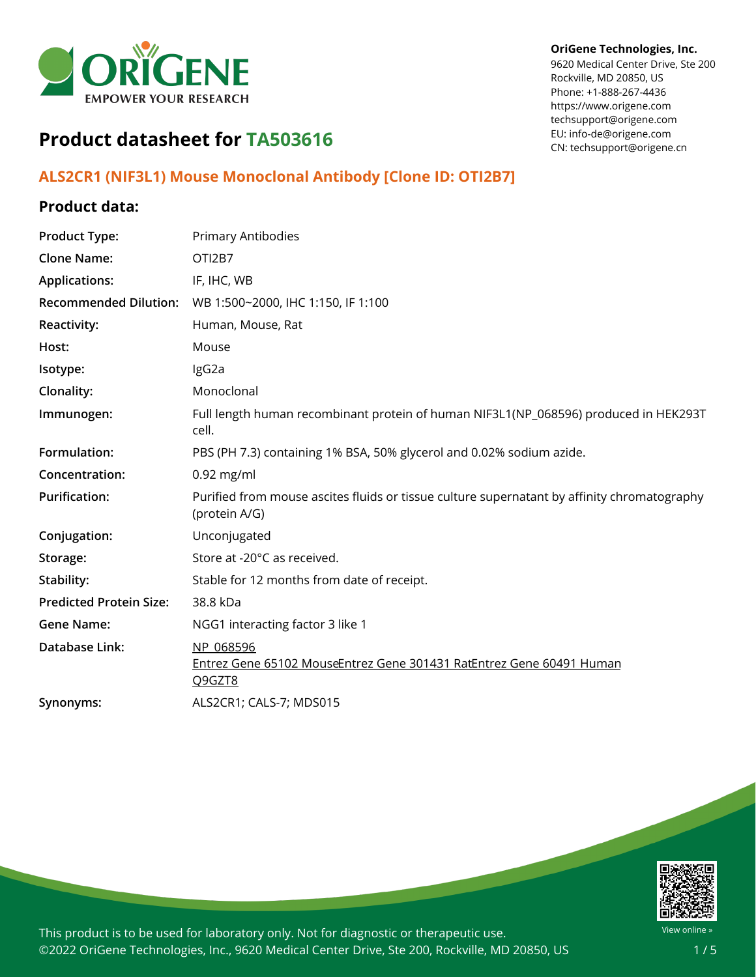

#### **OriGene Technologies, Inc.**

9620 Medical Center Drive, Ste 200 Rockville, MD 20850, US Phone: +1-888-267-4436 https://www.origene.com techsupport@origene.com EU: info-de@origene.com CN: techsupport@origene.cn

# **Product datasheet for TA503616**

# **ALS2CR1 (NIF3L1) Mouse Monoclonal Antibody [Clone ID: OTI2B7]**

## **Product data:**

| <b>Product Type:</b>           | Primary Antibodies                                                                                           |
|--------------------------------|--------------------------------------------------------------------------------------------------------------|
| <b>Clone Name:</b>             | OTI2B7                                                                                                       |
| <b>Applications:</b>           | IF, IHC, WB                                                                                                  |
| <b>Recommended Dilution:</b>   | WB 1:500~2000, IHC 1:150, IF 1:100                                                                           |
| <b>Reactivity:</b>             | Human, Mouse, Rat                                                                                            |
| Host:                          | Mouse                                                                                                        |
| Isotype:                       | lgG2a                                                                                                        |
| Clonality:                     | Monoclonal                                                                                                   |
| Immunogen:                     | Full length human recombinant protein of human NIF3L1(NP_068596) produced in HEK293T<br>cell.                |
| Formulation:                   | PBS (PH 7.3) containing 1% BSA, 50% glycerol and 0.02% sodium azide.                                         |
| Concentration:                 | $0.92$ mg/ml                                                                                                 |
| <b>Purification:</b>           | Purified from mouse ascites fluids or tissue culture supernatant by affinity chromatography<br>(protein A/G) |
| Conjugation:                   | Unconjugated                                                                                                 |
| Storage:                       | Store at -20°C as received.                                                                                  |
| Stability:                     | Stable for 12 months from date of receipt.                                                                   |
| <b>Predicted Protein Size:</b> | 38.8 kDa                                                                                                     |
| <b>Gene Name:</b>              | NGG1 interacting factor 3 like 1                                                                             |
| <b>Database Link:</b>          | NP 068596<br>Entrez Gene 65102 MouseEntrez Gene 301431 RatEntrez Gene 60491 Human<br>Q9GZT8                  |
| Synonyms:                      | ALS2CR1; CALS-7; MDS015                                                                                      |
|                                |                                                                                                              |

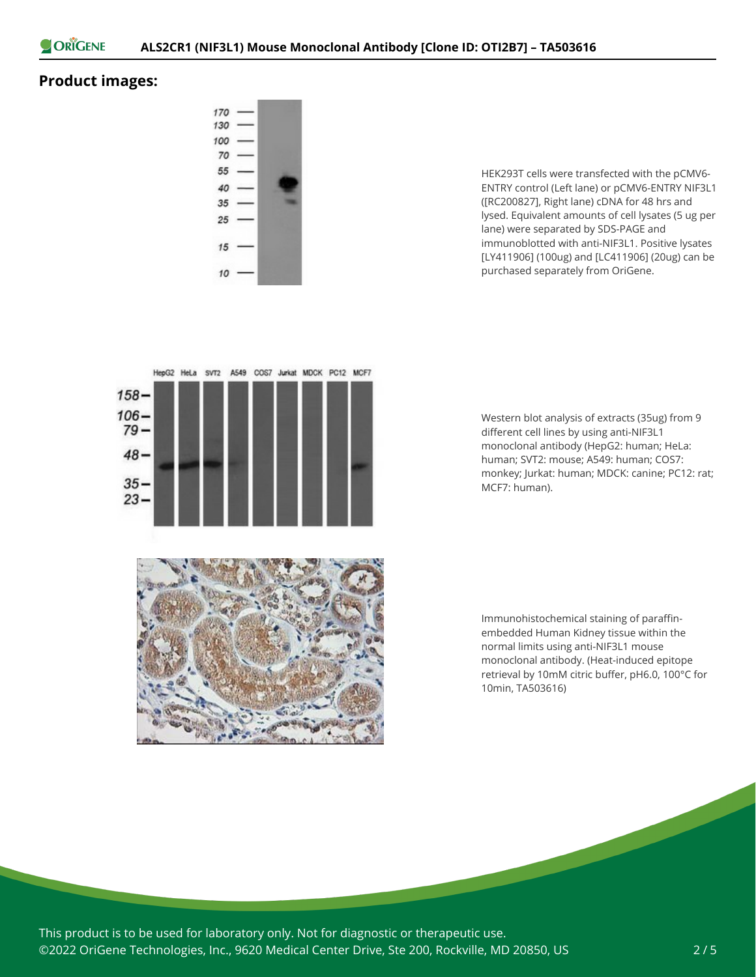

## **Product images:**



HEK293T cells were transfected with the pCMV6- ENTRY control (Left lane) or pCMV6-ENTRY NIF3L1 ([RC200827], Right lane) cDNA for 48 hrs and lysed. Equivalent amounts of cell lysates (5 ug per lane) were separated by SDS-PAGE and immunoblotted with anti-NIF3L1. Positive lysates [LY411906] (100ug) and [LC411906] (20ug) can be purchased separately from OriGene.



Western blot analysis of extracts (35ug) from 9 different cell lines by using anti-NIF3L1 monoclonal antibody (HepG2: human; HeLa: human; SVT2: mouse; A549: human; COS7: monkey; Jurkat: human; MDCK: canine; PC12: rat; MCF7: human).

Immunohistochemical staining of paraffinembedded Human Kidney tissue within the normal limits using anti-NIF3L1 mouse monoclonal antibody. (Heat-induced epitope retrieval by 10mM citric buffer, pH6.0, 100°C for 10min, TA503616)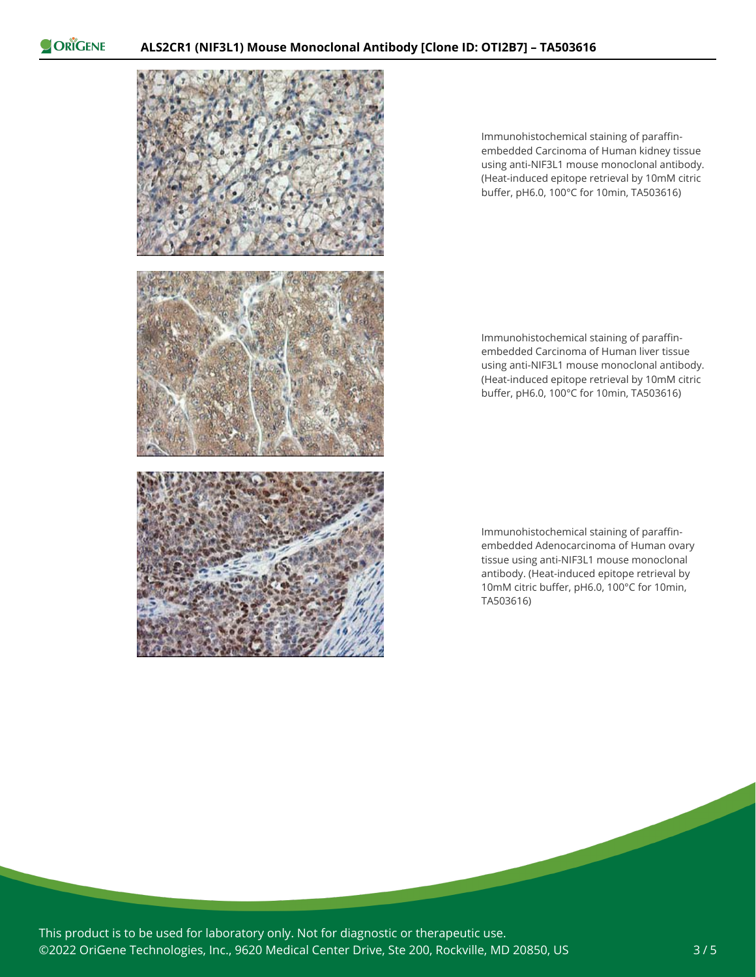ORIGENE



Immunohistochemical staining of paraffinembedded Carcinoma of Human kidney tissue using anti-NIF3L1 mouse monoclonal antibody. (Heat-induced epitope retrieval by 10mM citric buffer, pH6.0, 100°C for 10min, TA503616)

Immunohistochemical staining of paraffinembedded Carcinoma of Human liver tissue using anti-NIF3L1 mouse monoclonal antibody. (Heat-induced epitope retrieval by 10mM citric buffer, pH6.0, 100°C for 10min, TA503616)

Immunohistochemical staining of paraffinembedded Adenocarcinoma of Human ovary tissue using anti-NIF3L1 mouse monoclonal antibody. (Heat-induced epitope retrieval by 10mM citric buffer, pH6.0, 100°C for 10min, TA503616)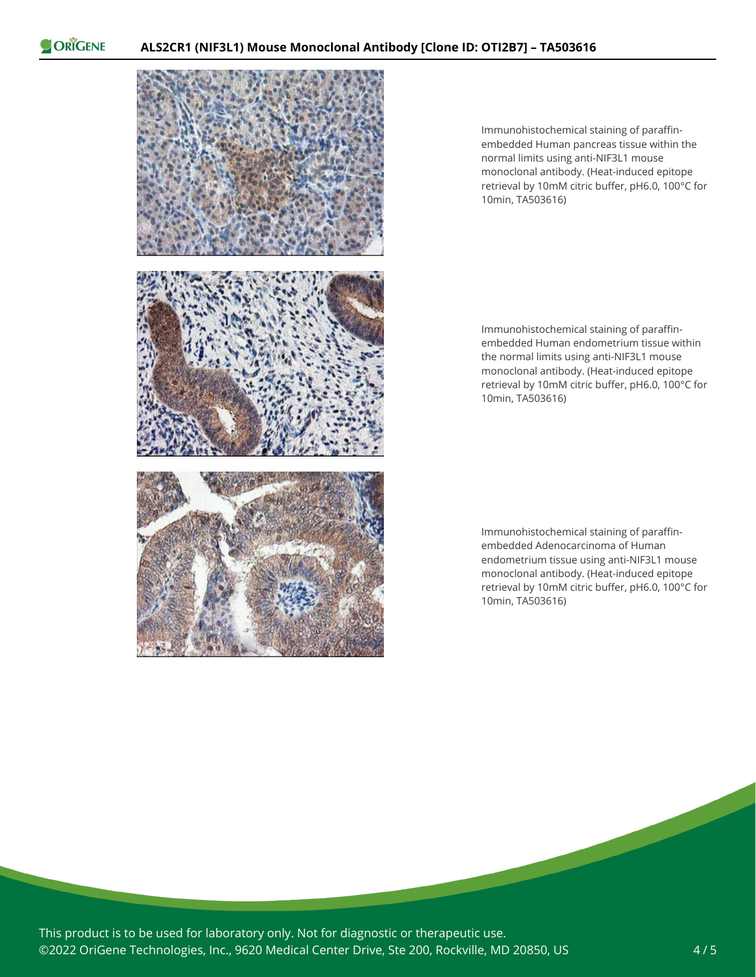ORIGENE



Immunohistochemical staining of paraffinembedded Human pancreas tissue within the normal limits using anti-NIF3L1 mouse monoclonal antibody. (Heat-induced epitope retrieval by 10mM citric buffer, pH6.0, 100°C for 10min, TA503616)

Immunohistochemical staining of paraffinembedded Human endometrium tissue within the normal limits using anti-NIF3L1 mouse monoclonal antibody. (Heat-induced epitope retrieval by 10mM citric buffer, pH6.0, 100°C for 10min, TA503616)

Immunohistochemical staining of paraffinembedded Adenocarcinoma of Human endometrium tissue using anti-NIF3L1 mouse monoclonal antibody. (Heat-induced epitope retrieval by 10mM citric buffer, pH6.0, 100°C for 10min, TA503616)